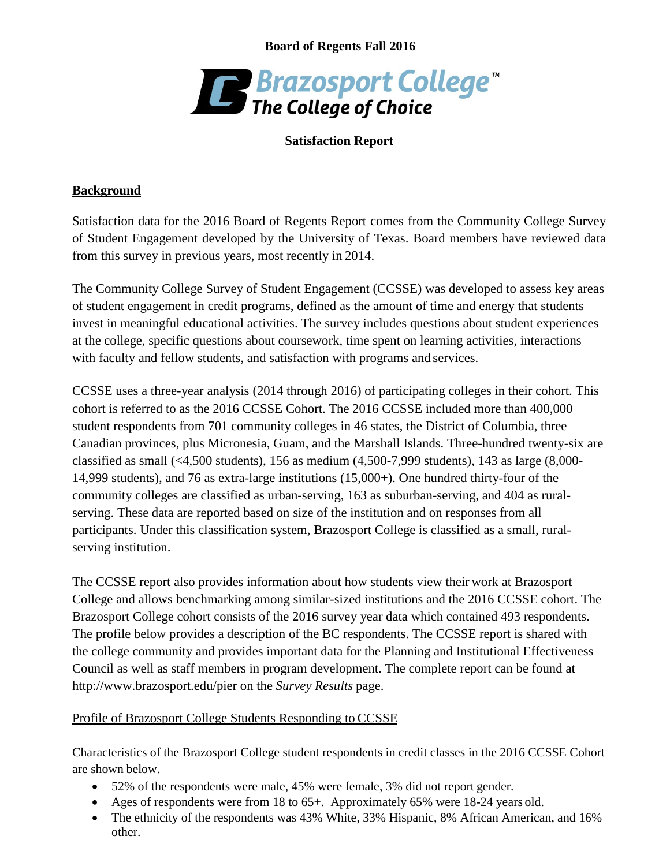**Board of Regents Fall 2016**



## **Satisfaction Report**

### **Background**

Satisfaction data for the 2016 Board of Regents Report comes from the Community College Survey of Student Engagement developed by the University of Texas. Board members have reviewed data from this survey in previous years, most recently in 2014.

The Community College Survey of Student Engagement (CCSSE) was developed to assess key areas of student engagement in credit programs, defined as the amount of time and energy that students invest in meaningful educational activities. The survey includes questions about student experiences at the college, specific questions about coursework, time spent on learning activities, interactions with faculty and fellow students, and satisfaction with programs and services.

CCSSE uses a three-year analysis (2014 through 2016) of participating colleges in their cohort. This cohort is referred to as the 2016 CCSSE Cohort. The 2016 CCSSE included more than 400,000 student respondents from [701 community](http://www.ccsse.org/members/reports/2016/comparison.cfm) colleges in 46 states, the District of Columbia, three Canadian provinces, plus Micronesia, Guam, and the Marshall Islands. Three-hundred twenty-six are classified as small  $\left( \langle 4, 500 \rangle \right)$  students), 156 as medium  $\left( 4, 500 - 7, 999 \right)$  students), 143 as large  $\left( 8, 000 - 7, 999 \right)$ 14,999 students), and 76 as extra-large institutions (15,000+). One hundred thirty-four of the community colleges are classified as urban-serving, 163 as suburban-serving, and 404 as ruralserving. These data are reported based on size of the institution and on responses from all participants. Under this classification system, Brazosport College is classified as a small, ruralserving institution.

The CCSSE report also provides information about how students view their work at Brazosport College and allows benchmarking among similar-sized institutions and the 2016 CCSSE cohort. The Brazosport College cohort consists of the 2016 survey year data which contained 493 respondents. The profile below provides a description of the BC respondents. The CCSSE report is shared with the college community and provides important data for the Planning and Institutional Effectiveness Council as well as staff members in program development. The complete report can be found at <http://www.brazosport.edu/pier> on the *Survey Results* page.

### Profile of Brazosport College Students Responding to CCSSE

Characteristics of the Brazosport College student respondents in credit classes in the 2016 CCSSE Cohort are shown below.

- 52% of the respondents were male, 45% were female, 3% did not report gender.
- Ages of respondents were from 18 to 65+. Approximately 65% were 18-24 years old.
- The ethnicity of the respondents was 43% White, 33% Hispanic, 8% African American, and 16% other.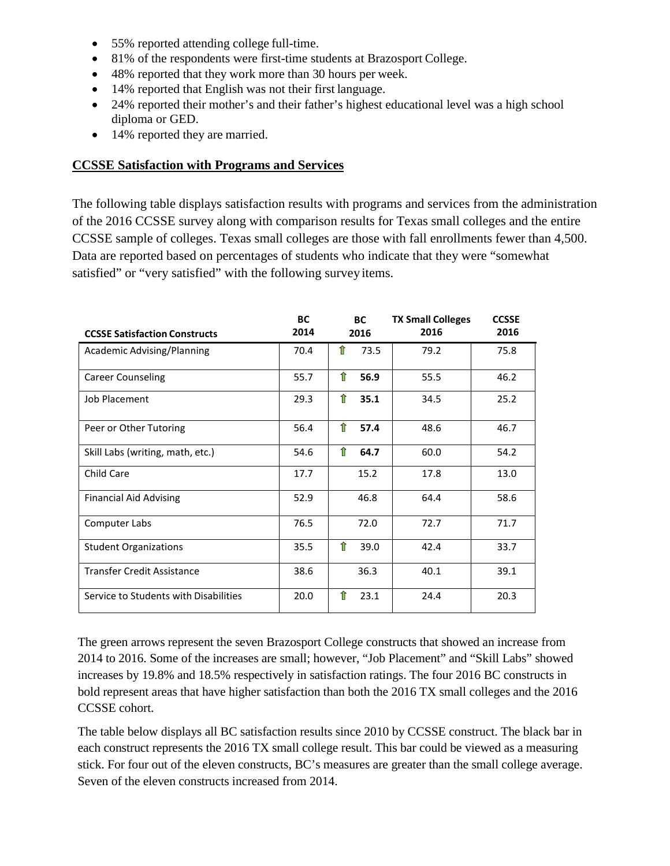- 55% reported attending college full-time.
- 81% of the respondents were first-time students at Brazosport College.
- 48% reported that they work more than 30 hours per week.
- 14% reported that English was not their first language.
- 24% reported their mother's and their father's highest educational level was a high school diploma or GED.
- 14% reported they are married.

## **CCSSE Satisfaction with Programs and Services**

The following table displays satisfaction results with programs and services from the administration of the 2016 CCSSE survey along with comparison results for Texas small colleges and the entire CCSSE sample of colleges. Texas small colleges are those with fall enrollments fewer than 4,500. Data are reported based on percentages of students who indicate that they were "somewhat satisfied" or "very satisfied" with the following survey items.

| <b>CCSSE Satisfaction Constructs</b>  | <b>BC</b><br>2014 | <b>BC</b><br>2016 | <b>TX Small Colleges</b><br>2016 | <b>CCSSE</b><br>2016 |
|---------------------------------------|-------------------|-------------------|----------------------------------|----------------------|
| Academic Advising/Planning            | 70.4              | ⇑<br>73.5         | 79.2                             | 75.8                 |
| <b>Career Counseling</b>              | 55.7              | ⇑<br>56.9         | 55.5                             | 46.2                 |
| <b>Job Placement</b>                  | 29.3              | ⇑<br>35.1         | 34.5                             | 25.2                 |
| Peer or Other Tutoring                | 56.4              | ⇑<br>57.4         | 48.6                             | 46.7                 |
| Skill Labs (writing, math, etc.)      | 54.6              | ⇑<br>64.7         | 60.0                             | 54.2                 |
| Child Care                            | 17.7              | 15.2              | 17.8                             | 13.0                 |
| <b>Financial Aid Advising</b>         | 52.9              | 46.8              | 64.4                             | 58.6                 |
| Computer Labs                         | 76.5              | 72.0              | 72.7                             | 71.7                 |
| <b>Student Organizations</b>          | 35.5              | ⇑<br>39.0         | 42.4                             | 33.7                 |
| <b>Transfer Credit Assistance</b>     | 38.6              | 36.3              | 40.1                             | 39.1                 |
| Service to Students with Disabilities | 20.0              | ⇑<br>23.1         | 24.4                             | 20.3                 |

The green arrows represent the seven Brazosport College constructs that showed an increase from 2014 to 2016. Some of the increases are small; however, "Job Placement" and "Skill Labs" showed increases by 19.8% and 18.5% respectively in satisfaction ratings. The four 2016 BC constructs in bold represent areas that have higher satisfaction than both the 2016 TX small colleges and the 2016 CCSSE cohort.

The table below displays all BC satisfaction results since 2010 by CCSSE construct. The black bar in each construct represents the 2016 TX small college result. This bar could be viewed as a measuring stick. For four out of the eleven constructs, BC's measures are greater than the small college average. Seven of the eleven constructs increased from 2014.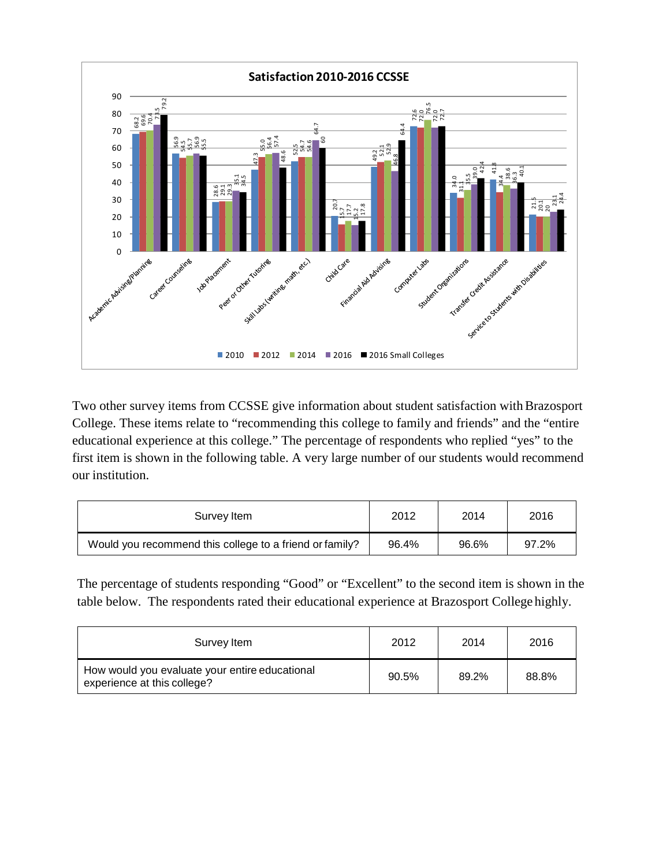

Two other survey items from CCSSE give information about student satisfaction with Brazosport College. These items relate to "recommending this college to family and friends" and the "entire educational experience at this college." The percentage of respondents who replied "yes" to the first item is shown in the following table. A very large number of our students would recommend our institution.

| Survey Item                                             | 2012  | 2014  | 2016  |
|---------------------------------------------------------|-------|-------|-------|
| Would you recommend this college to a friend or family? | 96.4% | 96.6% | 97.2% |

The percentage of students responding "Good" or "Excellent" to the second item is shown in the table below. The respondents rated their educational experience at Brazosport College highly.

| Survey Item                                                                   | 2012  | 2014  | 2016  |
|-------------------------------------------------------------------------------|-------|-------|-------|
| How would you evaluate your entire educational<br>experience at this college? | 90.5% | 89.2% | 88.8% |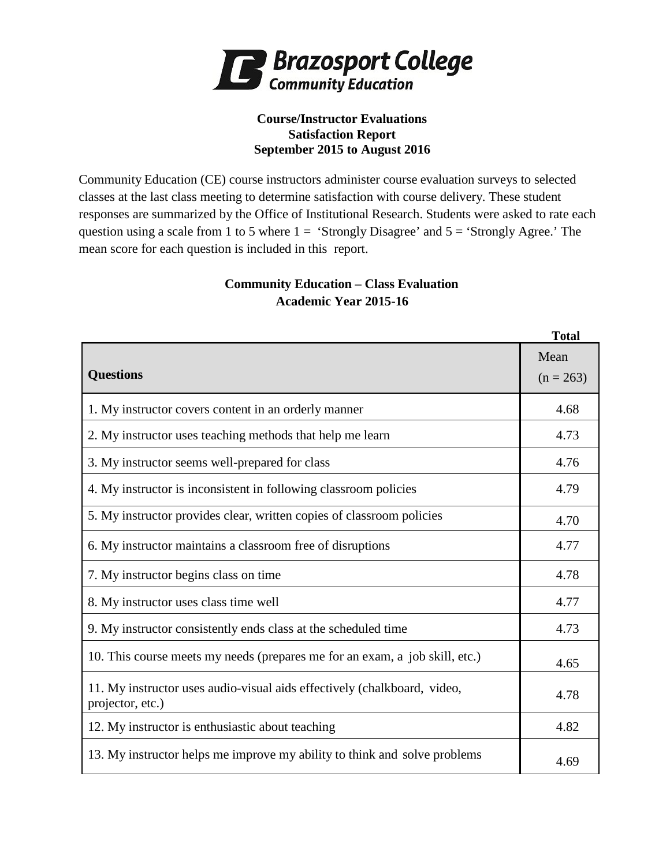

#### **Course/Instructor Evaluations Satisfaction Report September 2015 to August 2016**

Community Education (CE) course instructors administer course evaluation surveys to selected classes at the last class meeting to determine satisfaction with course delivery. These student responses are summarized by the Office of Institutional Research. Students were asked to rate each question using a scale from 1 to 5 where  $1 =$  'Strongly Disagree' and  $5 =$  'Strongly Agree.' The mean score for each question is included in this report.

# **Community Education – Class Evaluation Academic Year 2015-16**

|                                                                                              | <b>Total</b>        |  |  |
|----------------------------------------------------------------------------------------------|---------------------|--|--|
| <b>Questions</b>                                                                             | Mean<br>$(n = 263)$ |  |  |
|                                                                                              |                     |  |  |
| 1. My instructor covers content in an orderly manner                                         | 4.68                |  |  |
| 2. My instructor uses teaching methods that help me learn                                    | 4.73                |  |  |
| 3. My instructor seems well-prepared for class                                               | 4.76                |  |  |
| 4. My instructor is inconsistent in following classroom policies                             | 4.79                |  |  |
| 5. My instructor provides clear, written copies of classroom policies                        | 4.70                |  |  |
| 6. My instructor maintains a classroom free of disruptions                                   |                     |  |  |
| 7. My instructor begins class on time                                                        | 4.78                |  |  |
| 8. My instructor uses class time well                                                        | 4.77                |  |  |
| 9. My instructor consistently ends class at the scheduled time                               | 4.73                |  |  |
| 10. This course meets my needs (prepares me for an exam, a job skill, etc.)                  | 4.65                |  |  |
| 11. My instructor uses audio-visual aids effectively (chalkboard, video,<br>projector, etc.) | 4.78                |  |  |
| 12. My instructor is enthusiastic about teaching                                             | 4.82                |  |  |
| 13. My instructor helps me improve my ability to think and solve problems                    | 4.69                |  |  |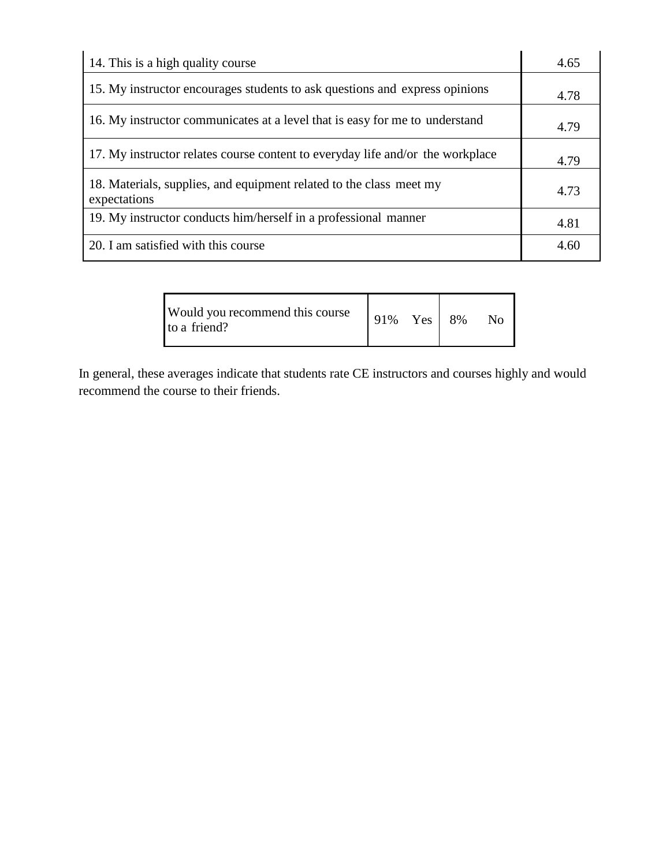| 14. This is a high quality course                                                   | 4.65 |
|-------------------------------------------------------------------------------------|------|
| 15. My instructor encourages students to ask questions and express opinions         | 4.78 |
| 16. My instructor communicates at a level that is easy for me to understand         | 4.79 |
| 17. My instructor relates course content to everyday life and/or the workplace      | 4.79 |
| 18. Materials, supplies, and equipment related to the class meet my<br>expectations | 4.73 |
| 19. My instructor conducts him/herself in a professional manner                     | 4.81 |
| 20. I am satisfied with this course                                                 | 4.60 |

| Would you recommend this course<br>to a friend? | 91% Yes 8% |  |  | $N_{\Omega}$ |
|-------------------------------------------------|------------|--|--|--------------|
|-------------------------------------------------|------------|--|--|--------------|

In general, these averages indicate that students rate CE instructors and courses highly and would recommend the course to their friends.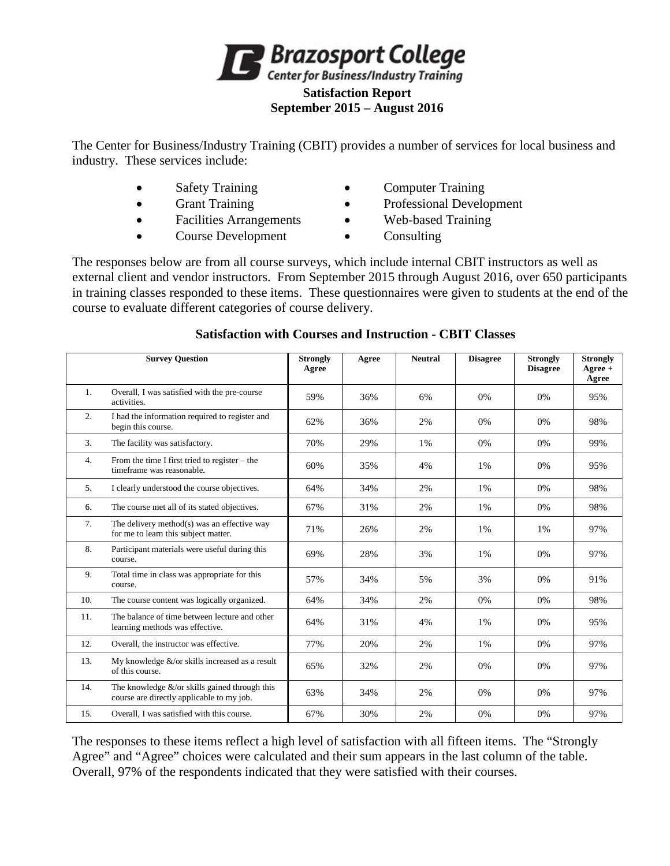

The Center for Business/Industry Training (CBIT) provides a number of services for local business and industry. These services include:

- 
- 
- Facilities Arrangements Web-based Training
- Course Development Consulting
- Safety Training **•** Computer Training
- Grant Training Professional Development
	-
	-

The responses below are from all course surveys, which include internal CBIT instructors as well as external client and vendor instructors. From September 2015 through August 2016, over 650 participants in training classes responded to these items. These questionnaires were given to students at the end of the course to evaluate different categories of course delivery.

|                  | <b>Survey Question</b>                                                                             | <b>Strongly</b><br>Agree | Agree | <b>Neutral</b> | <b>Disagree</b> | <b>Strongly</b><br><b>Disagree</b> | <b>Strongly</b><br>Agree +<br>Agree |
|------------------|----------------------------------------------------------------------------------------------------|--------------------------|-------|----------------|-----------------|------------------------------------|-------------------------------------|
| 1.               | Overall, I was satisfied with the pre-course<br>activities.                                        | 59%                      | 36%   | 6%             | 0%              | 0%                                 | 95%                                 |
| $\overline{2}$ . | I had the information required to register and<br>begin this course.                               | 62%                      | 36%   | 2%             | 0%              | 0%                                 | 98%                                 |
| 3.               | The facility was satisfactory.                                                                     | 70%                      | 29%   | 1%             | 0%              | 0%                                 | 99%                                 |
| 4.               | From the time I first tried to register – the<br>timeframe was reasonable.                         | 60%                      | 35%   | 4%             | 1%              | 0%                                 | 95%                                 |
| 5.               | I clearly understood the course objectives.                                                        | 64%                      | 34%   | 2%             | 1%              | 0%                                 | 98%                                 |
| 6.               | The course met all of its stated objectives.                                                       | 67%                      | 31%   | 2%             | 1%              | 0%                                 | 98%                                 |
| 7.               | The delivery method(s) was an effective way<br>for me to learn this subject matter.                | 71%                      | 26%   | 2%             | 1%              | 1%                                 | 97%                                 |
| 8.               | Participant materials were useful during this<br>course.                                           | 69%                      | 28%   | 3%             | 1%              | 0%                                 | 97%                                 |
| 9.               | Total time in class was appropriate for this<br>course.                                            | 57%                      | 34%   | 5%             | 3%              | 0%                                 | 91%                                 |
| 10.              | The course content was logically organized.                                                        | 64%                      | 34%   | 2%             | 0%              | 0%                                 | 98%                                 |
| 11.              | The balance of time between lecture and other<br>learning methods was effective.                   | 64%                      | 31%   | 4%             | 1%              | 0%                                 | 95%                                 |
| 12.              | Overall, the instructor was effective.                                                             | 77%                      | 20%   | 2%             | 1%              | 0%                                 | 97%                                 |
| 13.              | My knowledge $&\text{/or skills increased as a result}$<br>of this course.                         | 65%                      | 32%   | 2%             | 0%              | 0%                                 | 97%                                 |
| 14.              | The knowledge $&\sqrt{or}$ skills gained through this<br>course are directly applicable to my job. | 63%                      | 34%   | 2%             | 0%              | 0%                                 | 97%                                 |
| 15.              | Overall. I was satisfied with this course.                                                         | 67%                      | 30%   | 2%             | 0%              | 0%                                 | 97%                                 |

## **Satisfaction with Courses and Instruction - CBIT Classes**

The responses to these items reflect a high level of satisfaction with all fifteen items. The "Strongly Agree" and "Agree" choices were calculated and their sum appears in the last column of the table. Overall, 97% of the respondents indicated that they were satisfied with their courses.